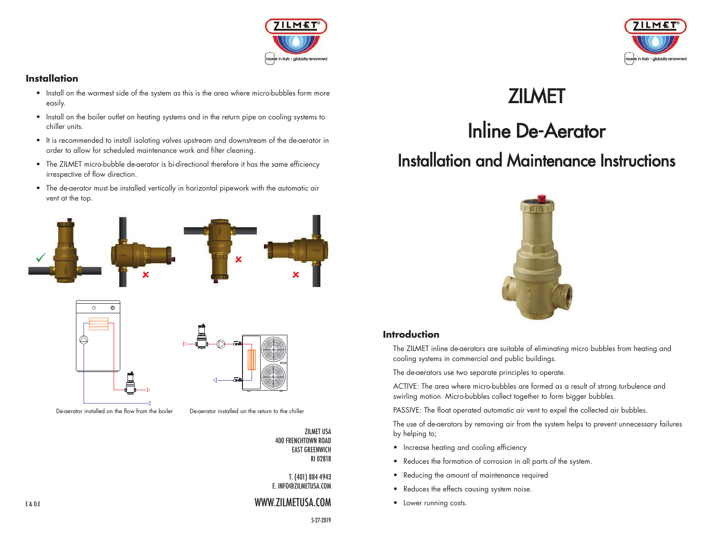

#### **Installation**

- Install on the warmest side of the system as this is the area where micro-bubbles form more easily.
- Install on the boiler outlet on heating systems and in the return pipe on cooling systems to chiller units.
- It is recommended to install isolating valves upstream and downstream of the de-aerator in order to allow for scheduled maintenance work and filter cleaning.
- The ZILMET micro-bubble de-aerator is bi-directional therefore it has the same efficiency irrespective of flow direction.
- The de-aerator must be installed vertically in horizontal pipework with the automatic air vent at the top.







De-aerator installed on the flow from the boiler De-aerator installed on the return to the chiller

ZILMET USA 400 FRENCHTOWN ROAD EAST GREENWICH RI 02818

T. (401) 884 4943 E. INFO@ZILMETUSA.COM

5-27-2019

#### WWW.ZILMETUSA.COM



## **ZILMET**

# Inline De-Aerator

### Installation and Maintenance Instructions



#### **Introduction**

 The ZILMET inline de-aerators are suitable of eliminating micro bubbles from heating and cooling systems in commercial and public buildings.

The de-aerators use two separate principles to operate.

 ACTIVE: The area where micro-bubbles are formed as a result of strong turbulence and swirling motion. Micro-bubbles collect together to form bigger bubbles.

PASSIVE: The float operated automatic air vent to expel the collected air bubbles.

 The use of de-aerators by removing air from the system helps to prevent unnecessary failures by helping to;

- Increase heating and cooling efficiency
- Reduces the formation of corrosion in all parts of the system.
- Reducing the amount of maintenance required
- Reduces the effects causing system noise.
- Lower running costs.